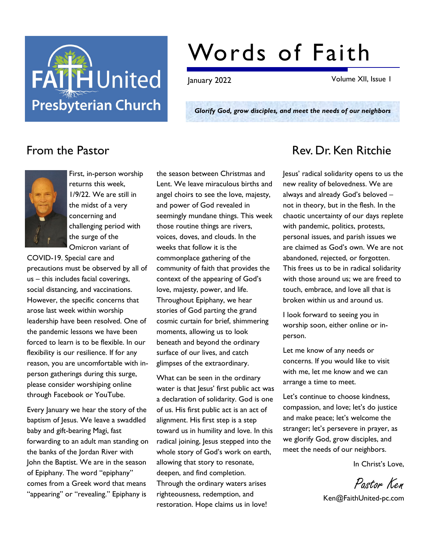

## Words of Faith

January 2022 Volume XII, Issue 1

Glorify God, grow disciples, and meet the needs of our neighbors



First, in-person worship returns this week, 1/9/22. We are still in the midst of a very concerning and challenging period with the surge of the Omicron variant of

COVID-19. Special care and precautions must be observed by all of us – this includes facial coverings, social distancing, and vaccinations. However, the specific concerns that arose last week within worship leadership have been resolved. One of the pandemic lessons we have been forced to learn is to be flexible. In our flexibility is our resilience. If for any reason, you are uncomfortable with inperson gatherings during this surge, please consider worshiping online through Facebook or YouTube.

Every January we hear the story of the baptism of Jesus. We leave a swaddled baby and gift-bearing Magi, fast forwarding to an adult man standing on the banks of the Jordan River with John the Baptist. We are in the season of Epiphany. The word "epiphany" comes from a Greek word that means "appearing" or "revealing." Epiphany is

the season between Christmas and Lent. We leave miraculous births and angel choirs to see the love, majesty, and power of God revealed in seemingly mundane things. This week those routine things are rivers, voices, doves, and clouds. In the weeks that follow it is the commonplace gathering of the community of faith that provides the context of the appearing of God's love, majesty, power, and life. Throughout Epiphany, we hear stories of God parting the grand cosmic curtain for brief, shimmering moments, allowing us to look beneath and beyond the ordinary surface of our lives, and catch glimpses of the extraordinary.

What can be seen in the ordinary water is that Jesus' first public act was a declaration of solidarity. God is one of us. His first public act is an act of alignment. His first step is a step toward us in humility and love. In this radical joining, Jesus stepped into the whole story of God's work on earth, allowing that story to resonate, deepen, and find completion. Through the ordinary waters arises righteousness, redemption, and restoration. Hope claims us in love!

### From the Pastor **Rev. Dr. Ken Ritchie**

Jesus' radical solidarity opens to us the new reality of belovedness. We are always and already God's beloved – not in theory, but in the flesh. In the chaotic uncertainty of our days replete with pandemic, politics, protests, personal issues, and parish issues we are claimed as God's own. We are not abandoned, rejected, or forgotten. This frees us to be in radical solidarity with those around us; we are freed to touch, embrace, and love all that is broken within us and around us.

I look forward to seeing you in worship soon, either online or inperson.

Let me know of any needs or concerns. If you would like to visit with me, let me know and we can arrange a time to meet.

Let's continue to choose kindness, compassion, and love; let's do justice and make peace; let's welcome the stranger; let's persevere in prayer, as we glorify God, grow disciples, and meet the needs of our neighbors.

In Christ's Love,

Pastor Ken

Ken@FaithUnited-pc.com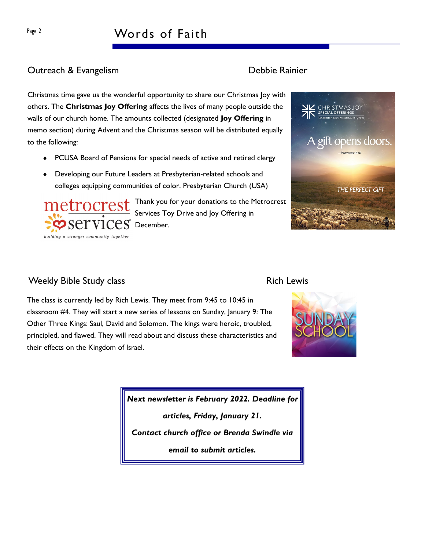## Page 2 Words of Faith

#### **Outreach & Evangelism Contract Contract Contract Contract Contract Contract Contract Contract Contract Contract Contract Contract Contract Contract Contract Contract Contract Contract Contract Contract Contract Contract C**

Christmas time gave us the wonderful opportunity to share our Christmas Joy with others. The Christmas Joy Offering affects the lives of many people outside the walls of our church home. The amounts collected (designated Joy Offering in memo section) during Advent and the Christmas season will be distributed equally to the following:

- PCUSA Board of Pensions for special needs of active and retired clergy
- Developing our Future Leaders at Presbyterian-related schools and colleges equipping communities of color. Presbyterian Church (USA)

Thank you for your donations to the Metrocrest Services Toy Drive and Joy Offering in  $PS$  December.

# building a stronger community together

## opens doors THE PERFECT GIFT

CHRISTMAS JOY<br>SPECIAL OFFERINGS

#### Weekly Bible Study class **Rich Lewis** Rich Lewis

The class is currently led by Rich Lewis. They meet from 9:45 to 10:45 in classroom #4. They will start a new series of lessons on Sunday, January 9: The Other Three Kings: Saul, David and Solomon. The kings were heroic, troubled, principled, and flawed. They will read about and discuss these characteristics and their effects on the Kingdom of Israel.



Next newsletter is February 2022. Deadline for

articles, Friday, January 21.

Contact church office or Brenda Swindle via

email to submit articles.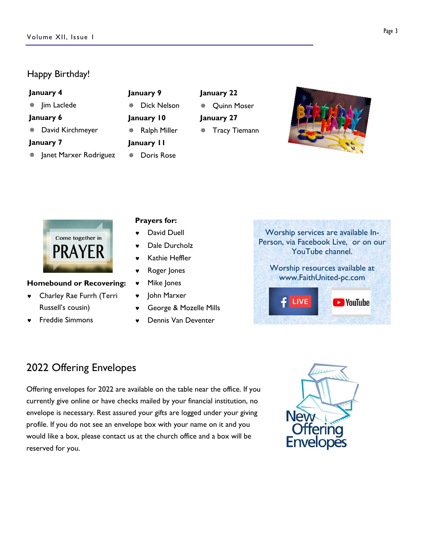#### Happy Birthday!

| January 4              | January 9               | January 22           |  |
|------------------------|-------------------------|----------------------|--|
| Jim Laclede<br>楽       | <b>Dick Nelson</b><br>豢 | <b>Quinn Moser</b>   |  |
| January 6              | January 10              | January 27           |  |
| David Kirchmeyer<br>₩  | Ralph Miller            | <b>Tracy Tiemann</b> |  |
| January 7              | January II              |                      |  |
| Janet Marxer Rodriguez | Doris Rose<br>₩         |                      |  |



#### Homebound or Recovering:

- © Charley Rae Furrh (Terri Russell's cousin)
- © Freddie Simmons

#### Prayers for:

- David Duell
- Dale Durcholz
- Kathie Heffler
- © Roger Jones
- © Mike Jones
- © John Marxer
- © George & Mozelle Mills
- © Dennis Van Deventer

Worship services are available In-Person, via Facebook Live, or on our YouTube channel.

Worship resources available at www.FaithUnited-pc.com



### 2022 Offering Envelopes

Offering envelopes for 2022 are available on the table near the office. If you currently give online or have checks mailed by your financial institution, no envelope is necessary. Rest assured your gifts are logged under your giving profile. If you do not see an envelope box with your name on it and you would like a box, please contact us at the church office and a box will be reserved for you.